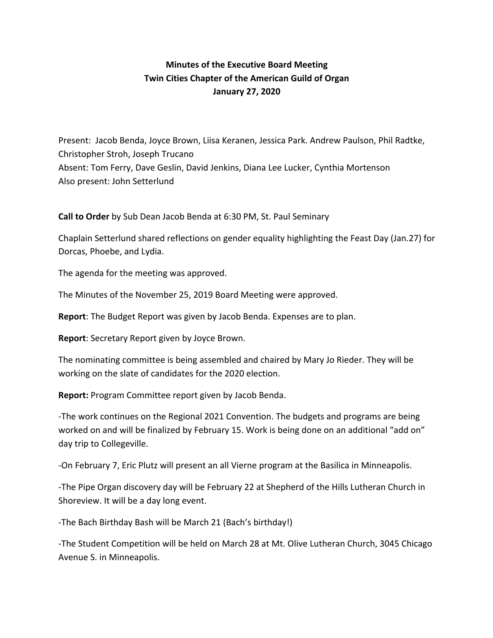# **Minutes of the Executive Board Meeting Twin Cities Chapter of the American Guild of Organ January 27, 2020**

Present: Jacob Benda, Joyce Brown, Liisa Keranen, Jessica Park. Andrew Paulson, Phil Radtke, Christopher Stroh, Joseph Trucano Absent: Tom Ferry, Dave Geslin, David Jenkins, Diana Lee Lucker, Cynthia Mortenson Also present: John Setterlund

**Call to Order** by Sub Dean Jacob Benda at 6:30 PM, St. Paul Seminary

Chaplain Setterlund shared reflections on gender equality highlighting the Feast Day (Jan.27) for Dorcas, Phoebe, and Lydia.

The agenda for the meeting was approved.

The Minutes of the November 25, 2019 Board Meeting were approved.

**Report**: The Budget Report was given by Jacob Benda. Expenses are to plan.

**Report**: Secretary Report given by Joyce Brown.

The nominating committee is being assembled and chaired by Mary Jo Rieder. They will be working on the slate of candidates for the 2020 election.

**Report:** Program Committee report given by Jacob Benda.

-The work continues on the Regional 2021 Convention. The budgets and programs are being worked on and will be finalized by February 15. Work is being done on an additional "add on" day trip to Collegeville.

-On February 7, Eric Plutz will present an all Vierne program at the Basilica in Minneapolis.

-The Pipe Organ discovery day will be February 22 at Shepherd of the Hills Lutheran Church in Shoreview. It will be a day long event.

-The Bach Birthday Bash will be March 21 (Bach's birthday!)

-The Student Competition will be held on March 28 at Mt. Olive Lutheran Church, 3045 Chicago Avenue S. in Minneapolis.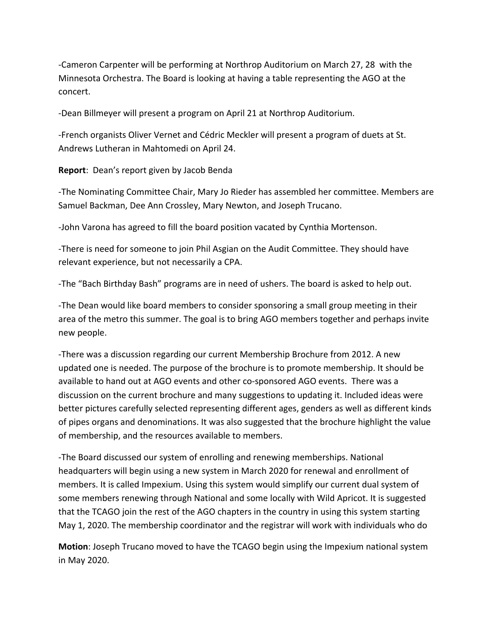-Cameron Carpenter will be performing at Northrop Auditorium on March 27, 28 with the Minnesota Orchestra. The Board is looking at having a table representing the AGO at the concert.

-Dean Billmeyer will present a program on April 21 at Northrop Auditorium.

-French organists Oliver Vernet and Cédric Meckler will present a program of duets at St. Andrews Lutheran in Mahtomedi on April 24.

**Report**: Dean's report given by Jacob Benda

-The Nominating Committee Chair, Mary Jo Rieder has assembled her committee. Members are Samuel Backman, Dee Ann Crossley, Mary Newton, and Joseph Trucano.

-John Varona has agreed to fill the board position vacated by Cynthia Mortenson.

-There is need for someone to join Phil Asgian on the Audit Committee. They should have relevant experience, but not necessarily a CPA.

-The "Bach Birthday Bash" programs are in need of ushers. The board is asked to help out.

-The Dean would like board members to consider sponsoring a small group meeting in their area of the metro this summer. The goal is to bring AGO members together and perhaps invite new people.

-There was a discussion regarding our current Membership Brochure from 2012. A new updated one is needed. The purpose of the brochure is to promote membership. It should be available to hand out at AGO events and other co-sponsored AGO events. There was a discussion on the current brochure and many suggestions to updating it. Included ideas were better pictures carefully selected representing different ages, genders as well as different kinds of pipes organs and denominations. It was also suggested that the brochure highlight the value of membership, and the resources available to members.

-The Board discussed our system of enrolling and renewing memberships. National headquarters will begin using a new system in March 2020 for renewal and enrollment of members. It is called Impexium. Using this system would simplify our current dual system of some members renewing through National and some locally with Wild Apricot. It is suggested that the TCAGO join the rest of the AGO chapters in the country in using this system starting May 1, 2020. The membership coordinator and the registrar will work with individuals who do

**Motion**: Joseph Trucano moved to have the TCAGO begin using the Impexium national system in May 2020.